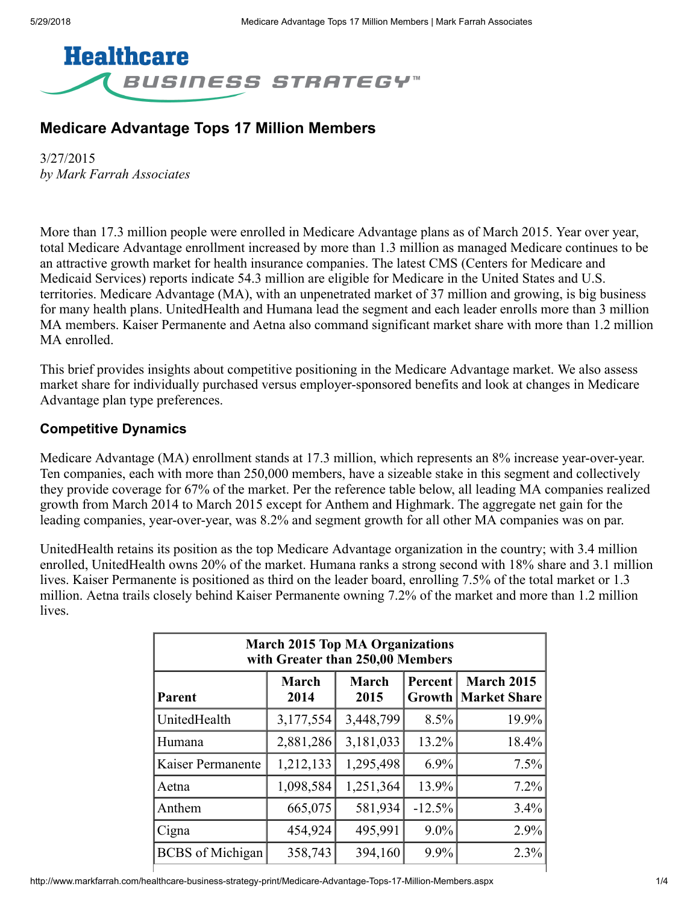

# Medicare Advantage Tops 17 Million Members

3/27/2015 *by Mark Farrah Associates*

More than 17.3 million people were enrolled in Medicare Advantage plans as of March 2015. Year over year, total Medicare Advantage enrollment increased by more than 1.3 million as managed Medicare continues to be an attractive growth market for health insurance companies. The latest CMS (Centers for Medicare and Medicaid Services) reports indicate 54.3 million are eligible for Medicare in the United States and U.S. territories. Medicare Advantage (MA), with an unpenetrated market of 37 million and growing, is big business for many health plans. UnitedHealth and Humana lead the segment and each leader enrolls more than 3 million MA members. Kaiser Permanente and Aetna also command significant market share with more than 1.2 million MA enrolled.

This brief provides insights about competitive positioning in the Medicare Advantage market. We also assess market share for individually purchased versus employer-sponsored benefits and look at changes in Medicare Advantage plan type preferences.

#### Competitive Dynamics

Medicare Advantage (MA) enrollment stands at 17.3 million, which represents an 8% increase year-over-year. Ten companies, each with more than 250,000 members, have a sizeable stake in this segment and collectively they provide coverage for 67% of the market. Per the reference table below, all leading MA companies realized growth from March 2014 to March 2015 except for Anthem and Highmark. The aggregate net gain for the leading companies, year-over-year, was 8.2% and segment growth for all other MA companies was on par.

UnitedHealth retains its position as the top Medicare Advantage organization in the country; with 3.4 million enrolled, UnitedHealth owns 20% of the market. Humana ranks a strong second with 18% share and 3.1 million lives. Kaiser Permanente is positioned as third on the leader board, enrolling 7.5% of the total market or 1.3 million. Aetna trails closely behind Kaiser Permanente owning 7.2% of the market and more than 1.2 million lives.

| <b>March 2015 Top MA Organizations</b><br>with Greater than 250,00 Members |                      |                      |          |                                                   |  |  |  |  |
|----------------------------------------------------------------------------|----------------------|----------------------|----------|---------------------------------------------------|--|--|--|--|
| Parent                                                                     | <b>March</b><br>2014 | <b>March</b><br>2015 | Percent  | <b>March 2015</b><br><b>Growth   Market Share</b> |  |  |  |  |
| UnitedHealth                                                               | 3,177,554            | 3,448,799            | 8.5%     | 19.9%                                             |  |  |  |  |
| Humana                                                                     | 2,881,286            | 3,181,033            | 13.2%    | 18.4%                                             |  |  |  |  |
| Kaiser Permanente                                                          | 1,212,133            | 1,295,498            | $6.9\%$  | 7.5%                                              |  |  |  |  |
| Aetna                                                                      | 1,098,584            | 1,251,364            | 13.9%    | 7.2%                                              |  |  |  |  |
| Anthem                                                                     | 665,075              | 581,934              | $-12.5%$ | 3.4%                                              |  |  |  |  |
| Cigna                                                                      | 454,924              | 495,991              | $9.0\%$  | 2.9%                                              |  |  |  |  |
| <b>BCBS</b> of Michigan                                                    | 358,743              | 394,160              | 9.9%     | 2.3%                                              |  |  |  |  |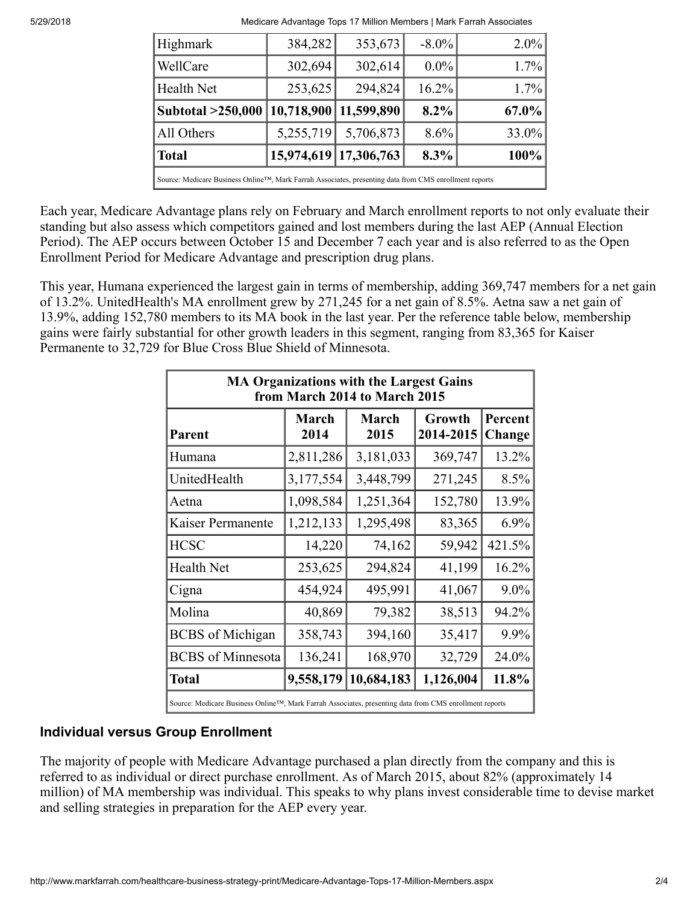5/29/2018 Medicare Advantage Tops 17 Million Members | Mark Farrah Associates

| Highmark                                                                                               | 384,282    | 353,673               | $-8.0\%$ | $2.0\%$  |  |  |  |
|--------------------------------------------------------------------------------------------------------|------------|-----------------------|----------|----------|--|--|--|
| WellCare                                                                                               | 302,694    | 302,614               | $0.0\%$  | 1.7%     |  |  |  |
| <b>Health Net</b>                                                                                      | 253,625    | 294,824               | 16.2%    | $1.7\%$  |  |  |  |
| Subtotal >250,000                                                                                      | 10,718,900 | 11,599,890            | 8.2%     | $67.0\%$ |  |  |  |
| All Others                                                                                             | 5,255,719  | 5,706,873             | 8.6%     | $33.0\%$ |  |  |  |
| <b>Total</b>                                                                                           |            | 15,974,619 17,306,763 | 8.3%     | 100%     |  |  |  |
| Source: Medicare Business Online™, Mark Farrah Associates, presenting data from CMS enrollment reports |            |                       |          |          |  |  |  |

Each year, Medicare Advantage plans rely on February and March enrollment reports to not only evaluate their standing but also assess which competitors gained and lost members during the last AEP (Annual Election Period). The AEP occurs between October 15 and December 7 each year and is also referred to as the Open Enrollment Period for Medicare Advantage and prescription drug plans.

This year, Humana experienced the largest gain in terms of membership, adding 369,747 members for a net gain of 13.2%. UnitedHealth's MA enrollment grew by 271,245 for a net gain of 8.5%. Aetna saw a net gain of 13.9%, adding 152,780 members to its MA book in the last year. Per the reference table below, membership gains were fairly substantial for other growth leaders in this segment, ranging from 83,365 for Kaiser Permanente to 32,729 for Blue Cross Blue Shield of Minnesota.

| <b>MA Organizations with the Largest Gains</b><br>from March 2014 to March 2015 |               |                      |                     |                   |  |  |  |  |  |
|---------------------------------------------------------------------------------|---------------|----------------------|---------------------|-------------------|--|--|--|--|--|
| Parent                                                                          | March<br>2014 | <b>March</b><br>2015 | Growth<br>2014-2015 | Percent<br>Change |  |  |  |  |  |
| Humana                                                                          | 2,811,286     | 3,181,033            | 369,747             | 13.2%             |  |  |  |  |  |
| UnitedHealth                                                                    | 3,177,554     | 3,448,799            | 271,245             | 8.5%              |  |  |  |  |  |
| Aetna                                                                           | 1,098,584     | 1,251,364            | 152,780             | 13.9%             |  |  |  |  |  |
| Kaiser Permanente                                                               | 1,212,133     | 1,295,498            | 83,365              | 6.9%              |  |  |  |  |  |
| <b>HCSC</b>                                                                     | 14,220        | 74,162               | 59,942              | 421.5%            |  |  |  |  |  |
| <b>Health Net</b>                                                               | 253,625       | 294,824              | 41,199              | 16.2%             |  |  |  |  |  |
| Cigna                                                                           | 454,924       | 495,991              | 41,067              | 9.0%              |  |  |  |  |  |
| Molina                                                                          | 40,869        | 79,382               | 38,513              | 94.2%             |  |  |  |  |  |
| <b>BCBS</b> of Michigan                                                         | 358,743       | 394,160              | 35,417              | 9.9%              |  |  |  |  |  |
| <b>BCBS</b> of Minnesota                                                        | 136,241       | 168,970              | 32,729              | 24.0%             |  |  |  |  |  |
| <b>Total</b>                                                                    | 9,558,179     | 10,684,183           | 1,126,004           | 11.8%             |  |  |  |  |  |

Source: Medicare Business Online™, Mark Farrah Associates, presenting data from CMS enrollment reports

## Individual versus Group Enrollment

The majority of people with Medicare Advantage purchased a plan directly from the company and this is referred to as individual or direct purchase enrollment. As of March 2015, about 82% (approximately 14 million) of MA membership was individual. This speaks to why plans invest considerable time to devise market and selling strategies in preparation for the AEP every year.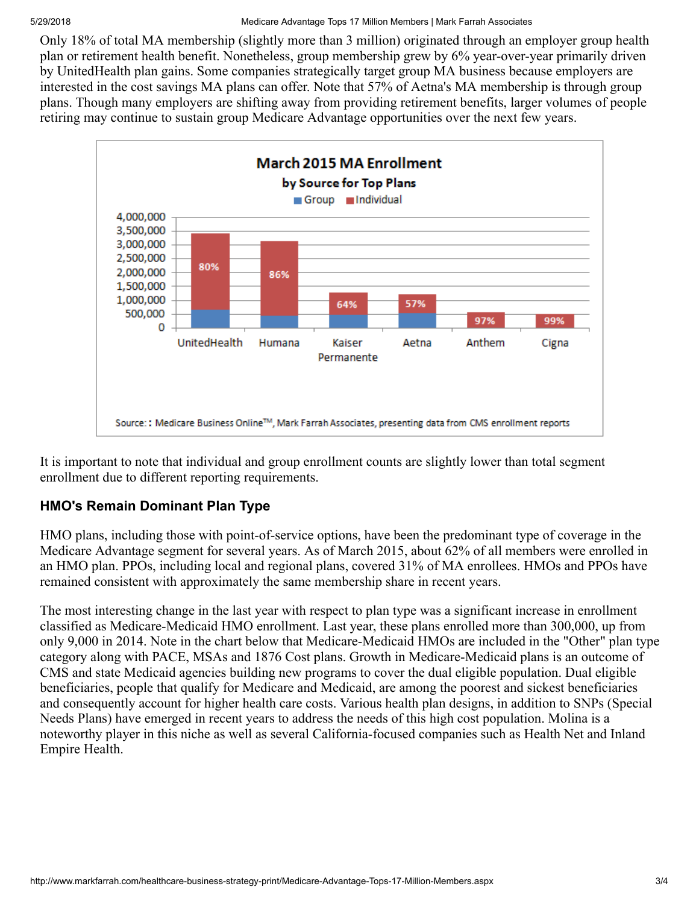Only 18% of total MA membership (slightly more than 3 million) originated through an employer group health plan or retirement health benefit. Nonetheless, group membership grew by 6% year-over-year primarily driven by UnitedHealth plan gains. Some companies strategically target group MA business because employers are interested in the cost savings MA plans can offer. Note that 57% of Aetna's MA membership is through group plans. Though many employers are shifting away from providing retirement benefits, larger volumes of people retiring may continue to sustain group Medicare Advantage opportunities over the next few years.



It is important to note that individual and group enrollment counts are slightly lower than total segment enrollment due to different reporting requirements.

## HMO's Remain Dominant Plan Type

HMO plans, including those with point-of-service options, have been the predominant type of coverage in the Medicare Advantage segment for several years. As of March 2015, about 62% of all members were enrolled in an HMO plan. PPOs, including local and regional plans, covered 31% of MA enrollees. HMOs and PPOs have remained consistent with approximately the same membership share in recent years.

The most interesting change in the last year with respect to plan type was a significant increase in enrollment classified as Medicare-Medicaid HMO enrollment. Last year, these plans enrolled more than 300,000, up from only 9,000 in 2014. Note in the chart below that Medicare-Medicaid HMOs are included in the "Other" plan type category along with PACE, MSAs and 1876 Cost plans. Growth in Medicare-Medicaid plans is an outcome of CMS and state Medicaid agencies building new programs to cover the dual eligible population. Dual eligible beneficiaries, people that qualify for Medicare and Medicaid, are among the poorest and sickest beneficiaries and consequently account for higher health care costs. Various health plan designs, in addition to SNPs (Special Needs Plans) have emerged in recent years to address the needs of this high cost population. Molina is a noteworthy player in this niche as well as several California-focused companies such as Health Net and Inland Empire Health.